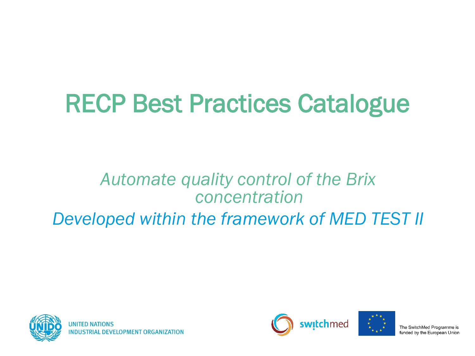# RECP Best Practices Catalogue

#### *Automate quality control of the Brix concentration Developed within the framework of MED TEST II*





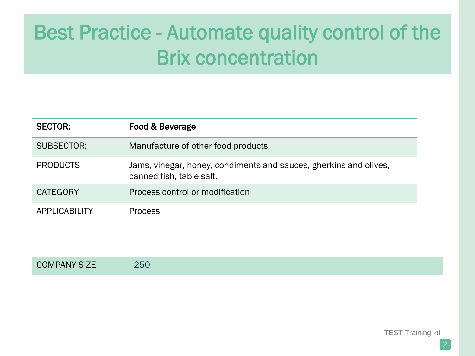| <b>SECTOR:</b>  | Food & Beverage                                                                               |
|-----------------|-----------------------------------------------------------------------------------------------|
| SUBSECTOR:      | Manufacture of other food products                                                            |
| <b>PRODUCTS</b> | Jams, vinegar, honey, condiments and sauces, gherkins and olives,<br>canned fish, table salt. |
| <b>CATEGORY</b> | Process control or modification                                                               |
| APPLICABILITY   | <b>Process</b>                                                                                |

COMPANY SIZE 250

TEST Training kit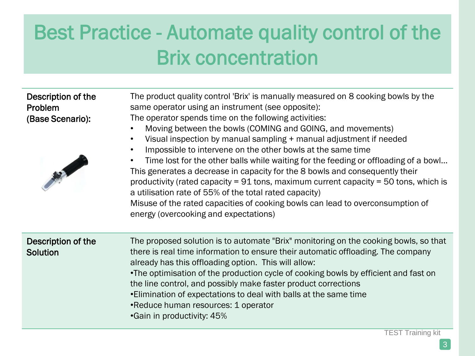Description of the Problem (Base Scenario):

The product quality control 'Brix' is manually measured on 8 cooking bowls by the same operator using an instrument (see opposite): The operator spends time on the following activities:

- Moving between the bowls (COMING and GOING, and movements)
- Visual inspection by manual sampling + manual adjustment if needed
- Impossible to intervene on the other bowls at the same time



| • Impossible to intervene on the other bowls at the same time                            |
|------------------------------------------------------------------------------------------|
| • Time lost for the other balls while waiting for the feeding or offloading of a bowl    |
| This generates a decrease in capacity for the 8 bowls and consequently their             |
| productivity (rated capacity = $91$ tons, maximum current capacity = $50$ tons, which is |
| a utilisation rate of 55% of the total rated capacity)                                   |
| Misuse of the rated capacities of cooking bowls can lead to overconsumption of           |
| energy (overcooking and expectations)                                                    |

| there is real time information to ensure their automatic offloading. The company<br>Solution<br>already has this offloading option. This will allow:<br>. The optimisation of the production cycle of cooking bowls by efficient and fast on<br>the line control, and possibly make faster product corrections<br>. Elimination of expectations to deal with balls at the same time<br>•Reduce human resources: 1 operator<br><b>•Gain in productivity: 45%</b> |  |
|-----------------------------------------------------------------------------------------------------------------------------------------------------------------------------------------------------------------------------------------------------------------------------------------------------------------------------------------------------------------------------------------------------------------------------------------------------------------|--|
|-----------------------------------------------------------------------------------------------------------------------------------------------------------------------------------------------------------------------------------------------------------------------------------------------------------------------------------------------------------------------------------------------------------------------------------------------------------------|--|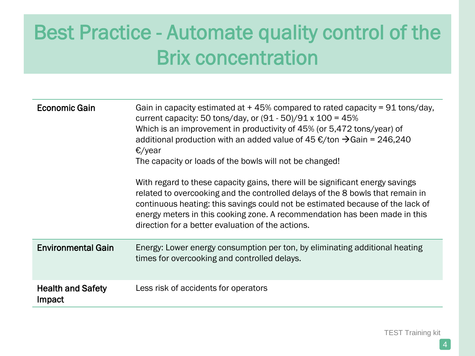| Economic Gain                      | Gain in capacity estimated at $+45\%$ compared to rated capacity = 91 tons/day,<br>current capacity: 50 tons/day, or $(91 - 50)/91 \times 100 = 45\%$<br>Which is an improvement in productivity of 45% (or 5,472 tons/year) of<br>additional production with an added value of 45 €/ton $\rightarrow$ Gain = 246,240<br>$\epsilon$ /year<br>The capacity or loads of the bowls will not be changed!<br>With regard to these capacity gains, there will be significant energy savings<br>related to overcooking and the controlled delays of the 8 bowls that remain in<br>continuous heating: this savings could not be estimated because of the lack of<br>energy meters in this cooking zone. A recommendation has been made in this<br>direction for a better evaluation of the actions. |
|------------------------------------|----------------------------------------------------------------------------------------------------------------------------------------------------------------------------------------------------------------------------------------------------------------------------------------------------------------------------------------------------------------------------------------------------------------------------------------------------------------------------------------------------------------------------------------------------------------------------------------------------------------------------------------------------------------------------------------------------------------------------------------------------------------------------------------------|
| <b>Environmental Gain</b>          | Energy: Lower energy consumption per ton, by eliminating additional heating<br>times for overcooking and controlled delays.                                                                                                                                                                                                                                                                                                                                                                                                                                                                                                                                                                                                                                                                  |
| <b>Health and Safety</b><br>Impact | Less risk of accidents for operators                                                                                                                                                                                                                                                                                                                                                                                                                                                                                                                                                                                                                                                                                                                                                         |